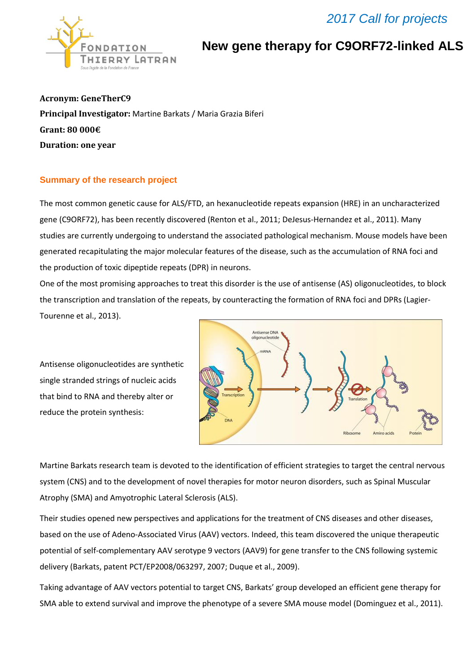## *2017 Call for projects*



**New gene therapy for C9ORF72-linked ALS**

**Acronym: GeneTherC9 Principal Investigator:** Martine Barkats / Maria Grazia Biferi **Grant: 80 000€ Duration: one year** 

## **Summary of the research project**

The most common genetic cause for ALS/FTD, an hexanucleotide repeats expansion (HRE) in an uncharacterized gene (C9ORF72), has been recently discovered (Renton et al., 2011; DeJesus-Hernandez et al., 2011). Many studies are currently undergoing to understand the associated pathological mechanism. Mouse models have been generated recapitulating the major molecular features of the disease, such as the accumulation of RNA foci and the production of toxic dipeptide repeats (DPR) in neurons.

One of the most promising approaches to treat this disorder is the use of antisense (AS) oligonucleotides, to block the transcription and translation of the repeats, by counteracting the formation of RNA foci and DPRs (Lagier-Tourenne et al., 2013).

Antisense oligonucleotides are synthetic single stranded strings of nucleic acids that bind to RNA and thereby alter or reduce the protein synthesis:



Martine Barkats research team is devoted to the identification of efficient strategies to target the central nervous system (CNS) and to the development of novel therapies for motor neuron disorders, such as Spinal Muscular Atrophy (SMA) and Amyotrophic Lateral Sclerosis (ALS).

Their studies opened new perspectives and applications for the treatment of CNS diseases and other diseases, based on the use of Adeno-Associated Virus (AAV) vectors. Indeed, this team discovered the unique therapeutic potential of self-complementary AAV serotype 9 vectors (AAV9) for gene transfer to the CNS following systemic delivery (Barkats, patent PCT/EP2008/063297, 2007; Duque et al., 2009).

Taking advantage of AAV vectors potential to target CNS, Barkats' group developed an efficient gene therapy for SMA able to extend survival and improve the phenotype of a severe SMA mouse model (Dominguez et al., 2011).